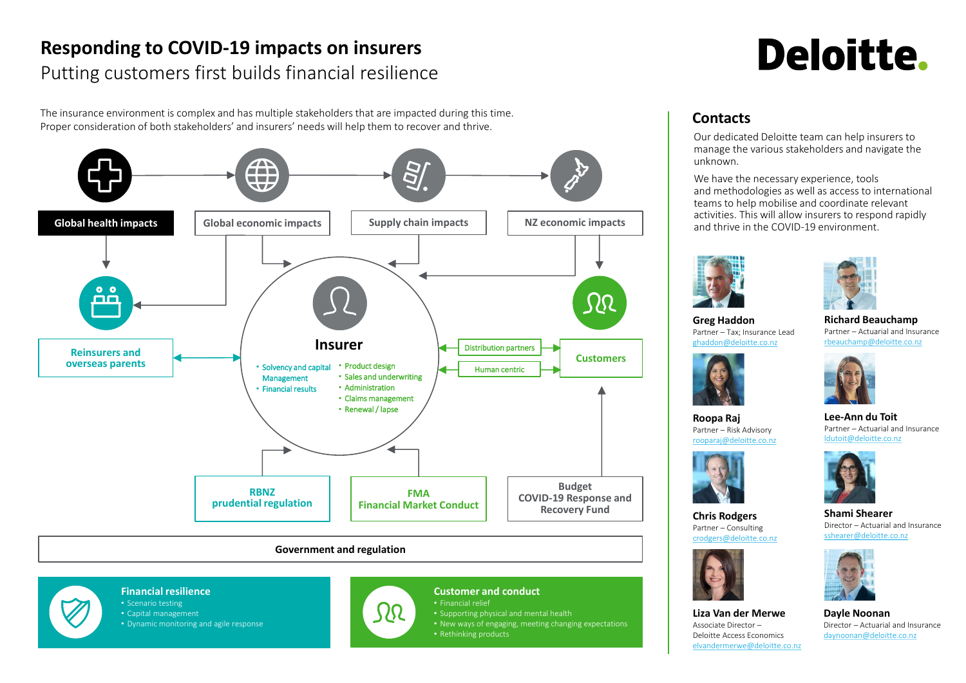# **Responding to COVID-19 impacts on insurers** Putting customers first builds financial resilience





# **Contacts**

## **Financial resilience**

- Scenario testing
- Capital management
- Dynamic monitoring and agile response



# **Customer and conduct**

- Financial relief
- Supporting physical and mental health
- New ways of engaging, meeting changing expectations
- Rethinking products



**Richard Beauchamp** Partner – Actuarial and Insurance [rbeauchamp@deloitte.co.nz](mailto:rbeauchamp@deloitte.co.nz)

We have the necessary experience, tools and methodologies as well as access to international teams to help mobilise and coordinate relevant activities. This will allow insurers to respond rapidly and thrive in the COVID-19 environment.



**Lee-Ann du Toit** Partner – Actuarial and Insurance [ldutoit@deloitte.co.nz](mailto:ldutoit@deloitte.co.nz)



**Dayle Noonan** Director – Actuarial and Insurance [daynoonan@deloitte.co.nz](mailto:daynoonan@deloitte.co.nz)



**Roopa Raj** Partner – Risk Advisory [rooparaj@deloitte.co.nz](mailto:rooparaj@deloitte.co.nz)



**Chris Rodgers** Partner – Consulting [crodgers@deloitte.co.nz](mailto:crodgers@deloitte.co.nz)



**Shami Shearer** Director – Actuarial and Insurance [sshearer@deloitte.co.nz](mailto:sshearer@deloitte.co.nz)

The insurance environment is complex and has multiple stakeholders that are impacted during this time. Proper consideration of both stakeholders' and insurers' needs will help them to recover and thrive.

Our dedicated Deloitte team can help insurers to manage the various stakeholders and navigate the unknown.



**Liza Van der Merwe** Associate Director – Deloitte Access Economics [elvandermerwe@deloitte.co.nz](mailto:elvandermerwe@deloitte.co.nz)

# **Deloitte.**











**Greg Haddon** Partner – Tax; Insurance Lead [ghaddon@deloitte.co.nz](mailto:ghaddon@deloitte.co.nz)